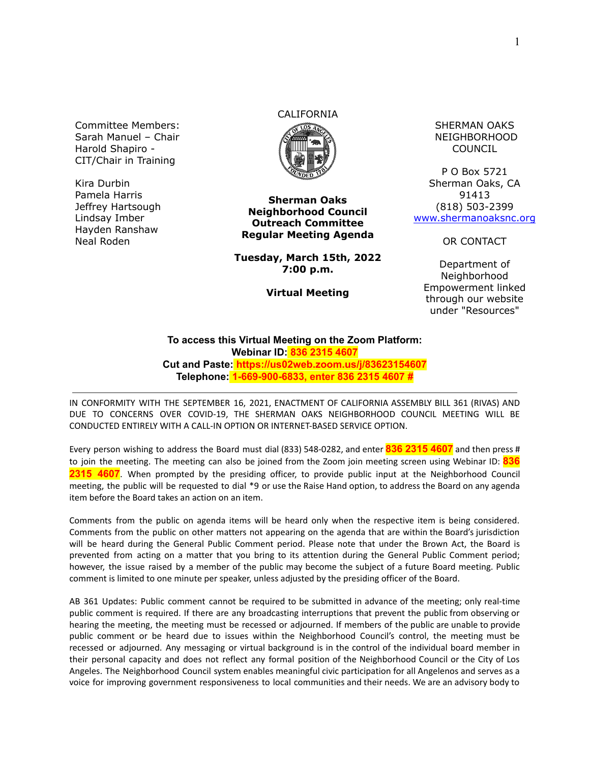Committee Members: Sarah Manuel – Chair Harold Shapiro - CIT/Chair in Training

Kira Durbin Pamela Harris Jeffrey Hartsough Lindsay Imber Hayden Ranshaw Neal Roden

# CALIFORNIA



**Sherman Oaks Neighborhood Council Outreach Committee Regular Meeting Agenda**

**Tuesday, March 15th, 2022 7:00 p.m.**

**Virtual Meeting**

SHERMAN OAKS NEIGHBORHOOD COUNCIL

P O Box 5721 Sherman Oaks, CA 91413 (818) 503-2399 [www.shermanoaksnc.org](http://www.shermanoaksnc.org/)

OR CONTACT

Department of Neighborhood Empowerment linked through our website under "Resources"

#### **To access this Virtual Meeting on the Zoom Platform: Webinar ID: 836 2315 4607 Cut and Paste: https://us02web.zoom.us/j/83623154607 Telephone: 1-669-900-6833, enter 836 2315 4607 #**

IN CONFORMITY WITH THE SEPTEMBER 16, 2021, ENACTMENT OF CALIFORNIA ASSEMBLY BILL 361 (RIVAS) AND DUE TO CONCERNS OVER COVID-19, THE SHERMAN OAKS NEIGHBORHOOD COUNCIL MEETING WILL BE CONDUCTED ENTIRELY WITH A CALL-IN OPTION OR INTERNET-BASED SERVICE OPTION.

Every person wishing to address the Board must dial (833) 548-0282, and enter **836 2315 4607** and then press # to join the meeting. The meeting can also be joined from the Zoom join meeting screen using Webinar ID: **836 2315 4607**. When prompted by the presiding officer, to provide public input at the Neighborhood Council meeting, the public will be requested to dial \*9 or use the Raise Hand option, to address the Board on any agenda item before the Board takes an action on an item.

Comments from the public on agenda items will be heard only when the respective item is being considered. Comments from the public on other matters not appearing on the agenda that are within the Board's jurisdiction will be heard during the General Public Comment period. Please note that under the Brown Act, the Board is prevented from acting on a matter that you bring to its attention during the General Public Comment period; however, the issue raised by a member of the public may become the subject of a future Board meeting. Public comment is limited to one minute per speaker, unless adjusted by the presiding officer of the Board.

AB 361 Updates: Public comment cannot be required to be submitted in advance of the meeting; only real-time public comment is required. If there are any broadcasting interruptions that prevent the public from observing or hearing the meeting, the meeting must be recessed or adjourned. If members of the public are unable to provide public comment or be heard due to issues within the Neighborhood Council's control, the meeting must be recessed or adjourned. Any messaging or virtual background is in the control of the individual board member in their personal capacity and does not reflect any formal position of the Neighborhood Council or the City of Los Angeles. The Neighborhood Council system enables meaningful civic participation for all Angelenos and serves as a voice for improving government responsiveness to local communities and their needs. We are an advisory body to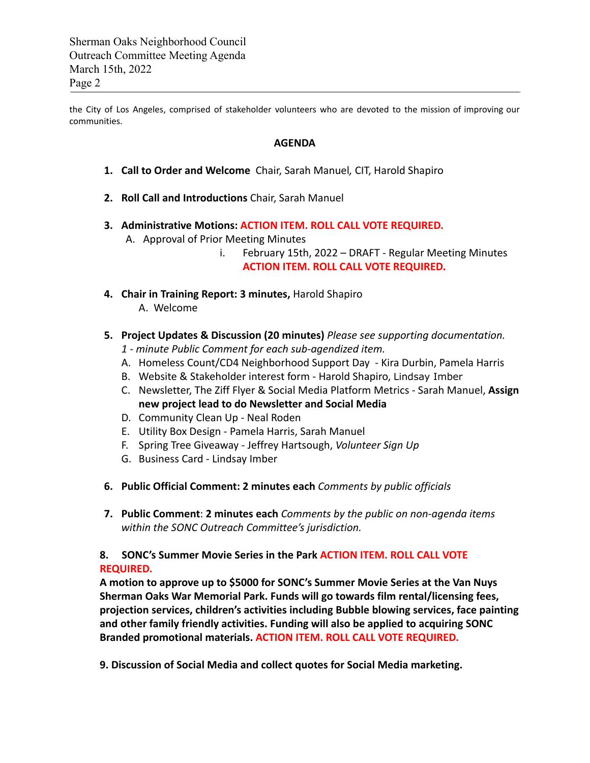the City of Los Angeles, comprised of stakeholder volunteers who are devoted to the mission of improving our communities.

#### **AGENDA**

- **1. Call to Order and Welcome** Chair, Sarah Manuel*,* CIT, Harold Shapiro
- **2. Roll Call and Introductions** Chair, Sarah Manuel
- **3. Administrative Motions: ACTION ITEM. ROLL CALL VOTE REQUIRED.**
	- A. Approval of Prior Meeting Minutes
		- i. February 15th, 2022 DRAFT Regular Meeting Minutes **ACTION ITEM. ROLL CALL VOTE REQUIRED.**
- **4. Chair in Training Report: 3 minutes,** Harold Shapiro A. Welcome
- **5. Project Updates & Discussion (20 minutes)** *Please see supporting documentation.*
	- *1 minute Public Comment for each sub-agendized item.*
	- A. Homeless Count/CD4 Neighborhood Support Day Kira Durbin, Pamela Harris
	- B. Website & Stakeholder interest form Harold Shapiro, Lindsay Imber
	- C. Newsletter, The Ziff Flyer & Social Media Platform Metrics Sarah Manuel, **Assign new project lead to do Newsletter and Social Media**
	- D. Community Clean Up Neal Roden
	- E. Utility Box Design Pamela Harris, Sarah Manuel
	- F. Spring Tree Giveaway Jeffrey Hartsough, *Volunteer Sign Up*
	- G. Business Card Lindsay Imber
- **6. Public Official Comment: 2 minutes each** *Comments by public officials*
- **7. Public Comment**: **2 minutes each** *Comments by the public on non-agenda items within the SONC Outreach Committee's jurisdiction.*

**8. SONC's Summer Movie Series in the Park ACTION ITEM. ROLL CALL VOTE REQUIRED.**

**A motion to approve up to \$5000 for SONC's Summer Movie Series at the Van Nuys Sherman Oaks War Memorial Park. Funds will go towards film rental/licensing fees, projection services, children's activities including Bubble blowing services, face painting and other family friendly activities. Funding will also be applied to acquiring SONC Branded promotional materials. ACTION ITEM. ROLL CALL VOTE REQUIRED.**

**9. Discussion of Social Media and collect quotes for Social Media marketing.**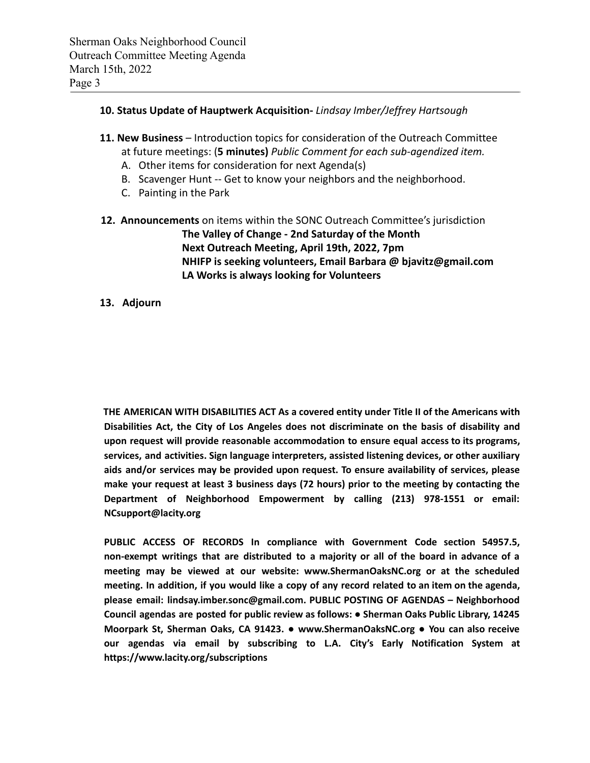## **10. Status Update of Hauptwerk Acquisition-** *Lindsay Imber/Jeffrey Hartsough*

- **11. New Business** Introduction topics for consideration of the Outreach Committee at future meetings: (**5 minutes)** *Public Comment for each sub-agendized item.*
	- A. Other items for consideration for next Agenda(s)
	- B. Scavenger Hunt -- Get to know your neighbors and the neighborhood.
	- C. Painting in the Park
- **12. Announcements** on items within the SONC Outreach Committee's jurisdiction **The Valley of Change - 2nd Saturday of the Month Next Outreach Meeting, April 19th, 2022, 7pm NHIFP is seeking volunteers, Email Barbara @ bjavitz@gmail.com LA Works is always looking for Volunteers**

### **13. Adjourn**

**THE AMERICAN WITH DISABILITIES ACT As a covered entity under Title II of the Americans with Disabilities Act, the City of Los Angeles does not discriminate on the basis of disability and upon request will provide reasonable accommodation to ensure equal access to its programs, services, and activities. Sign language interpreters, assisted listening devices, or other auxiliary aids and/or services may be provided upon request. To ensure availability of services, please make your request at least 3 business days (72 hours) prior to the meeting by contacting the Department of Neighborhood Empowerment by calling (213) 978-1551 or email: NCsupport@lacity.org**

**PUBLIC ACCESS OF RECORDS In compliance with Government Code section 54957.5, non-exempt writings that are distributed to a majority or all of the board in advance of a meeting may be viewed at our website: www.ShermanOaksNC.org or at the scheduled** meeting. In addition, if you would like a copy of any record related to an item on the agenda, **please email: lindsay.imber.sonc@gmail.com. PUBLIC POSTING OF AGENDAS – Neighborhood Council agendas are posted for public review as follows: ● Sherman Oaks Public Library, 14245 Moorpark St, Sherman Oaks, CA 91423. ● www.ShermanOaksNC.org ● You can also receive our agendas via email by subscribing to L.A. City's Early Notification System at https://www.lacity.org/subscriptions**